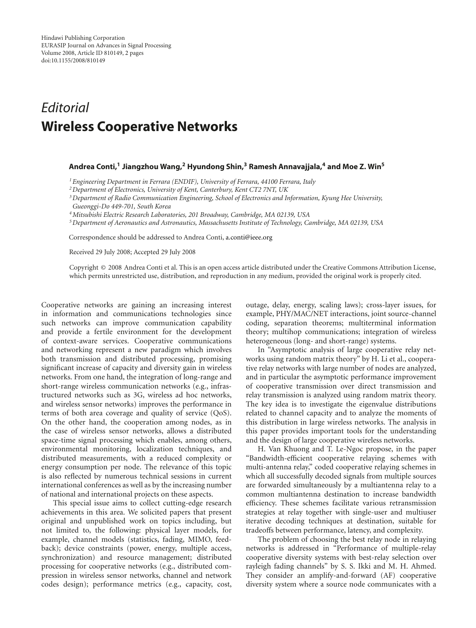## *Editorial* **Wireless Cooperative Networks**

## **Andrea Conti,1 Jiangzhou Wang,2 Hyundong Shin,3 Ramesh Annavajjala,4 and Moe Z. Win5**

*1Engineering Department in Ferrara (ENDIF), University of Ferrara, 44100 Ferrara, Italy*

*2Department of Electronics, University of Kent, Canterbury, Kent CT2 7NT, UK*

*3Department of Radio Communication Engineering, School of Electronics and Information, Kyung Hee University,*

*Gueonggi-Do 449-701, South Korea*

*4Mitsubishi Electric Research Laboratories, 201 Broadway, Cambridge, MA 02139, USA*

*5Department of Aeronautics and Astronautics, Massachusetts Institute of Technology, Cambridge, MA 02139, USA*

Correspondence should be addressed to Andrea Conti, a.conti@ieee.org

Received 29 July 2008; Accepted 29 July 2008

Copyright © 2008 Andrea Conti et al. This is an open access article distributed under the Creative Commons Attribution License, which permits unrestricted use, distribution, and reproduction in any medium, provided the original work is properly cited.

Cooperative networks are gaining an increasing interest in information and communications technologies since such networks can improve communication capability and provide a fertile environment for the development of context-aware services. Cooperative communications and networking represent a new paradigm which involves both transmission and distributed processing, promising significant increase of capacity and diversity gain in wireless networks. From one hand, the integration of long-range and short-range wireless communication networks (e.g., infrastructured networks such as 3G, wireless ad hoc networks, and wireless sensor networks) improves the performance in terms of both area coverage and quality of service (QoS). On the other hand, the cooperation among nodes, as in the case of wireless sensor networks, allows a distributed space-time signal processing which enables, among others, environmental monitoring, localization techniques, and distributed measurements, with a reduced complexity or energy consumption per node. The relevance of this topic is also reflected by numerous technical sessions in current international conferences as well as by the increasing number of national and international projects on these aspects.

This special issue aims to collect cutting-edge research achievements in this area. We solicited papers that present original and unpublished work on topics including, but not limited to, the following: physical layer models, for example, channel models (statistics, fading, MIMO, feedback); device constraints (power, energy, multiple access, synchronization) and resource management; distributed processing for cooperative networks (e.g., distributed compression in wireless sensor networks, channel and network codes design); performance metrics (e.g., capacity, cost,

outage, delay, energy, scaling laws); cross-layer issues, for example, PHY/MAC/NET interactions, joint source-channel coding, separation theorems; multiterminal information theory; multihop communications; integration of wireless heterogeneous (long- and short-range) systems.

In "Asymptotic analysis of large cooperative relay networks using random matrix theory" by H. Li et al., cooperative relay networks with large number of nodes are analyzed, and in particular the asymptotic performance improvement of cooperative transmission over direct transmission and relay transmission is analyzed using random matrix theory. The key idea is to investigate the eigenvalue distributions related to channel capacity and to analyze the moments of this distribution in large wireless networks. The analysis in this paper provides important tools for the understanding and the design of large cooperative wireless networks.

H. Van Khuong and T. Le-Ngoc propose, in the paper "Bandwidth-efficient cooperative relaying schemes with multi-antenna relay," coded cooperative relaying schemes in which all successfully decoded signals from multiple sources are forwarded simultaneously by a multiantenna relay to a common multiantenna destination to increase bandwidth efficiency. These schemes facilitate various retransmission strategies at relay together with single-user and multiuser iterative decoding techniques at destination, suitable for tradeoffs between performance, latency, and complexity.

The problem of choosing the best relay node in relaying networks is addressed in "Performance of multiple-relay cooperative diversity systems with best-relay selection over rayleigh fading channels" by S. S. Ikki and M. H. Ahmed. They consider an amplify-and-forward (AF) cooperative diversity system where a source node communicates with a